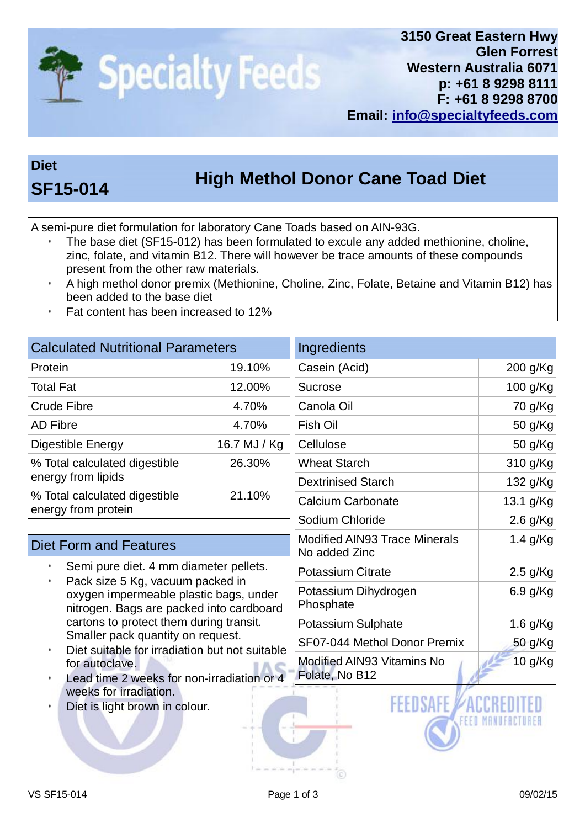

## **Diet**

## **High Methol Donor Cane Toad Diet SF15-014**

A semi-pure diet formulation for laboratory Cane Toads based on AIN-93G.

- The base diet (SF15-012) has been formulated to excule any added methionine, choline, zinc, folate, and vitamin B12. There will however be trace amounts of these compounds present from the other raw materials.
- A high methol donor premix (Methionine, Choline, Zinc, Folate, Betaine and Vitamin B12) has been added to the base diet
- Fat content has been increased to 12%

| <b>Calculated Nutritional Parameters</b>                                                                                                                                                                                                                   |              | Ingredients                                           |            |
|------------------------------------------------------------------------------------------------------------------------------------------------------------------------------------------------------------------------------------------------------------|--------------|-------------------------------------------------------|------------|
| Protein                                                                                                                                                                                                                                                    | 19.10%       | Casein (Acid)                                         | 200 g/Kg   |
| <b>Total Fat</b>                                                                                                                                                                                                                                           | 12.00%       | <b>Sucrose</b>                                        | 100 g/Kg   |
| <b>Crude Fibre</b>                                                                                                                                                                                                                                         | 4.70%        | Canola Oil                                            | 70 g/Kg    |
| <b>AD Fibre</b>                                                                                                                                                                                                                                            | 4.70%        | Fish Oil                                              | 50 g/Kg    |
| Digestible Energy                                                                                                                                                                                                                                          | 16.7 MJ / Kg | Cellulose                                             | 50 g/Kg    |
| % Total calculated digestible<br>energy from lipids                                                                                                                                                                                                        | 26.30%       | <b>Wheat Starch</b>                                   | 310 g/Kg   |
|                                                                                                                                                                                                                                                            |              | <b>Dextrinised Starch</b>                             | 132 g/Kg   |
| % Total calculated digestible<br>energy from protein                                                                                                                                                                                                       | 21.10%       | <b>Calcium Carbonate</b>                              | 13.1 g/Kg  |
|                                                                                                                                                                                                                                                            |              | Sodium Chloride                                       | $2.6$ g/Kg |
| <b>Diet Form and Features</b>                                                                                                                                                                                                                              |              | <b>Modified AIN93 Trace Minerals</b><br>No added Zinc | 1.4 $g/Kg$ |
| Semi pure diet. 4 mm diameter pellets.                                                                                                                                                                                                                     |              | <b>Potassium Citrate</b>                              | $2.5$ g/Kg |
| Pack size 5 Kg, vacuum packed in<br>oxygen impermeable plastic bags, under<br>nitrogen. Bags are packed into cardboard                                                                                                                                     |              | Potassium Dihydrogen<br>Phosphate                     | 6.9 g/Kg   |
| cartons to protect them during transit.<br>Smaller pack quantity on request.<br>Diet suitable for irradiation but not suitable<br>for autoclave.<br>Lead time 2 weeks for non-irradiation or 4<br>weeks for irradiation.<br>Diet is light brown in colour. |              | Potassium Sulphate                                    | 1.6 g/Kg   |
|                                                                                                                                                                                                                                                            |              | SF07-044 Methol Donor Premix                          | 50 g/Kg    |
|                                                                                                                                                                                                                                                            |              | Modified AIN93 Vitamins No<br>Folate, No B12          | 10 g/Kg    |
|                                                                                                                                                                                                                                                            |              | <b>FEEDSAFF</b>                                       |            |
|                                                                                                                                                                                                                                                            |              |                                                       |            |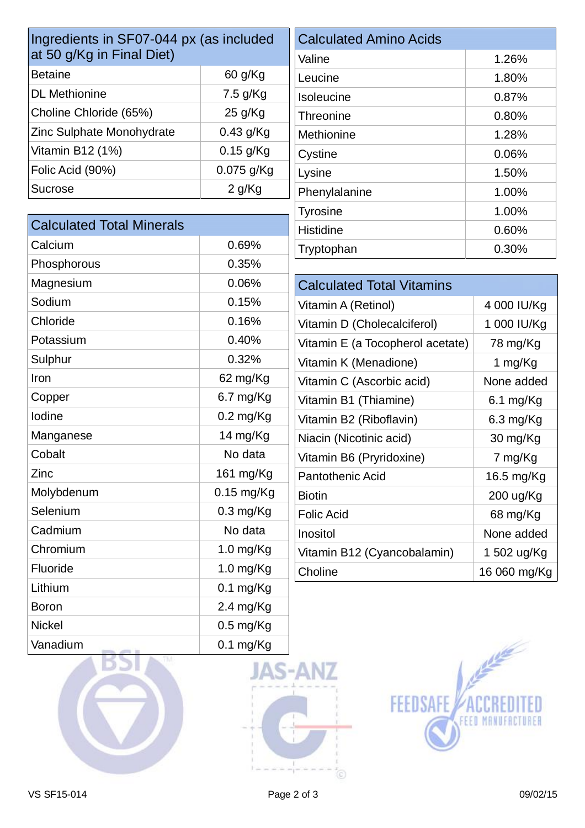| Ingredients in SF07-044 px (as included |                     | <b>Calculated Amino Acids</b>    |              |
|-----------------------------------------|---------------------|----------------------------------|--------------|
| at 50 g/Kg in Final Diet)               |                     | Valine                           | 1.26%        |
| <b>Betaine</b>                          | 60 g/Kg             | Leucine                          | 1.80%        |
| <b>DL</b> Methionine                    | 7.5 g/Kg            | Isoleucine                       | 0.87%        |
| Choline Chloride (65%)                  | 25 g/Kg             | Threonine                        | 0.80%        |
| Zinc Sulphate Monohydrate               | 0.43 g/Kg           | Methionine                       | 1.28%        |
| Vitamin B12 (1%)                        | $0.15$ g/Kg         | Cystine                          | 0.06%        |
| Folic Acid (90%)                        | 0.075 g/Kg          | Lysine                           | 1.50%        |
| <b>Sucrose</b>                          | 2 g/Kg              | Phenylalanine                    | 1.00%        |
|                                         |                     | <b>Tyrosine</b>                  | 1.00%        |
| <b>Calculated Total Minerals</b>        |                     | <b>Histidine</b>                 | 0.60%        |
| Calcium                                 | 0.69%               | Tryptophan                       | 0.30%        |
| Phosphorous                             | 0.35%               |                                  |              |
| Magnesium                               | 0.06%               | <b>Calculated Total Vitamins</b> |              |
| Sodium                                  | 0.15%               | Vitamin A (Retinol)              | 4 000 IU/Kg  |
| Chloride                                | 0.16%               | Vitamin D (Cholecalciferol)      | 1 000 IU/Kg  |
| Potassium                               | 0.40%               | Vitamin E (a Tocopherol acetate) | 78 mg/Kg     |
| Sulphur                                 | 0.32%               | Vitamin K (Menadione)            | 1 mg/Kg      |
| Iron                                    | 62 mg/Kg            | Vitamin C (Ascorbic acid)        | None added   |
| Copper                                  | 6.7 mg/Kg           | Vitamin B1 (Thiamine)            | $6.1$ mg/Kg  |
| lodine                                  | $0.2$ mg/Kg         | Vitamin B2 (Riboflavin)          | 6.3 mg/Kg    |
| Manganese                               | 14 mg/Kg            | Niacin (Nicotinic acid)          | 30 mg/Kg     |
| Cobalt                                  | No data             | Vitamin B6 (Pryridoxine)         | 7 mg/Kg      |
| Zinc                                    | 161 mg/Kg           | <b>Pantothenic Acid</b>          | 16.5 mg/Kg   |
| Molybdenum                              | $0.15$ mg/Kg        | <b>Biotin</b>                    | 200 ug/Kg    |
| Selenium                                | $0.3$ mg/Kg         | <b>Folic Acid</b>                | 68 mg/Kg     |
| Cadmium                                 | No data             | Inositol                         | None added   |
| Chromium                                | 1.0 mg/Kg           | Vitamin B12 (Cyancobalamin)      | 1 502 ug/Kg  |
| Fluoride                                | 1.0 mg/Kg           | Choline                          | 16 060 mg/Kg |
| Lithium                                 | $0.1$ mg/Kg         |                                  |              |
| <b>Boron</b>                            | $2.4 \text{ mg/Kg}$ |                                  |              |
| <b>Nickel</b>                           | $0.5$ mg/Kg         |                                  |              |